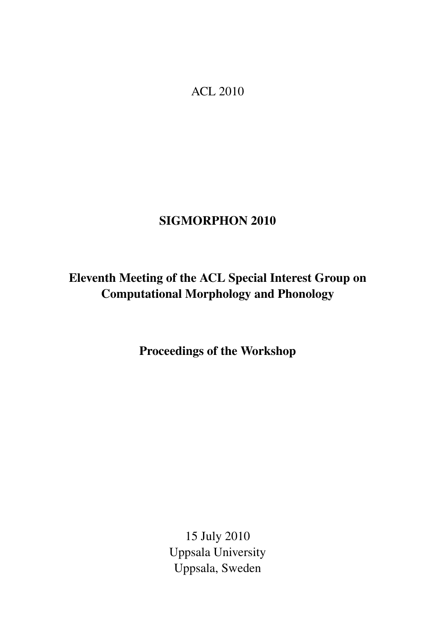<span id="page-0-0"></span>ACL 2010

# SIGMORPHON 2010

# Eleventh Meeting of the ACL Special Interest Group on Computational Morphology and Phonology

Proceedings of the Workshop

15 July 2010 Uppsala University Uppsala, Sweden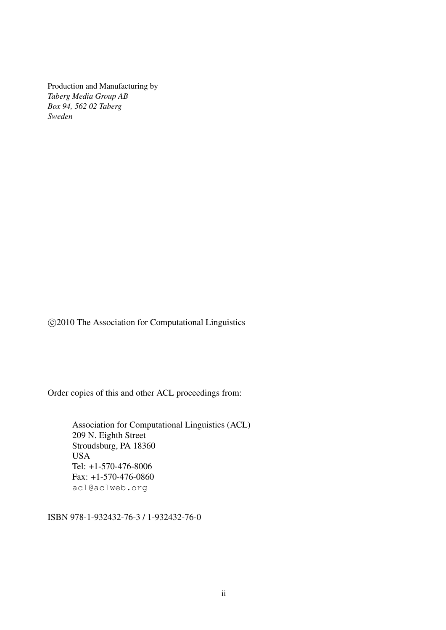Production and Manufacturing by *Taberg Media Group AB Box 94, 562 02 Taberg Sweden*

c 2010 The Association for Computational Linguistics

Order copies of this and other ACL proceedings from:

Association for Computational Linguistics (ACL) 209 N. Eighth Street Stroudsburg, PA 18360 **USA** Tel: +1-570-476-8006 Fax: +1-570-476-0860 acl@aclweb.org

ISBN 978-1-932432-76-3 / 1-932432-76-0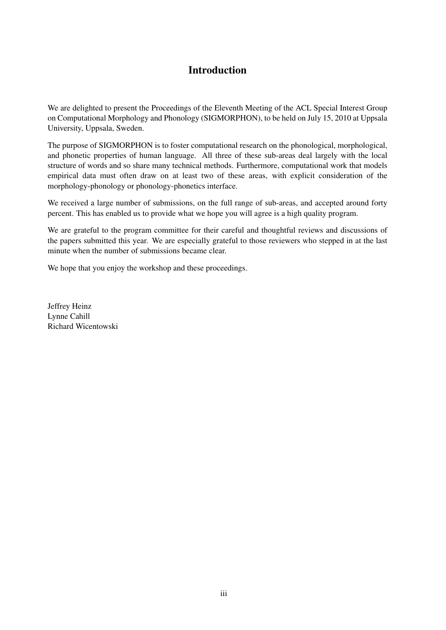## Introduction

We are delighted to present the Proceedings of the Eleventh Meeting of the ACL Special Interest Group on Computational Morphology and Phonology (SIGMORPHON), to be held on July 15, 2010 at Uppsala University, Uppsala, Sweden.

The purpose of SIGMORPHON is to foster computational research on the phonological, morphological, and phonetic properties of human language. All three of these sub-areas deal largely with the local structure of words and so share many technical methods. Furthermore, computational work that models empirical data must often draw on at least two of these areas, with explicit consideration of the morphology-phonology or phonology-phonetics interface.

We received a large number of submissions, on the full range of sub-areas, and accepted around forty percent. This has enabled us to provide what we hope you will agree is a high quality program.

We are grateful to the program committee for their careful and thoughtful reviews and discussions of the papers submitted this year. We are especially grateful to those reviewers who stepped in at the last minute when the number of submissions became clear.

We hope that you enjoy the workshop and these proceedings.

Jeffrey Heinz Lynne Cahill Richard Wicentowski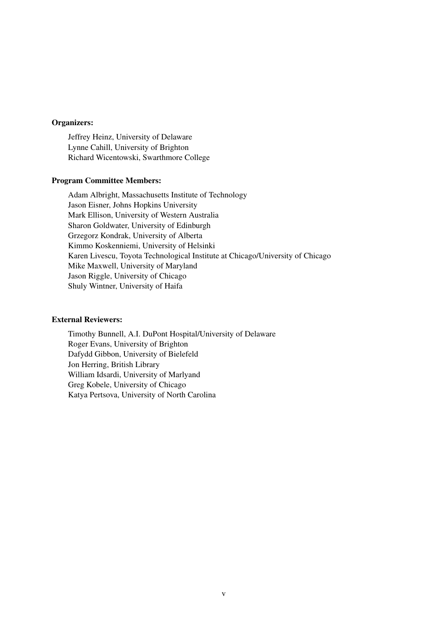### Organizers:

Jeffrey Heinz, University of Delaware Lynne Cahill, University of Brighton Richard Wicentowski, Swarthmore College

#### Program Committee Members:

Adam Albright, Massachusetts Institute of Technology Jason Eisner, Johns Hopkins University Mark Ellison, University of Western Australia Sharon Goldwater, University of Edinburgh Grzegorz Kondrak, University of Alberta Kimmo Koskenniemi, University of Helsinki Karen Livescu, Toyota Technological Institute at Chicago/University of Chicago Mike Maxwell, University of Maryland Jason Riggle, University of Chicago Shuly Wintner, University of Haifa

#### External Reviewers:

Timothy Bunnell, A.I. DuPont Hospital/University of Delaware Roger Evans, University of Brighton Dafydd Gibbon, University of Bielefeld Jon Herring, British Library William Idsardi, University of Marlyand Greg Kobele, University of Chicago Katya Pertsova, University of North Carolina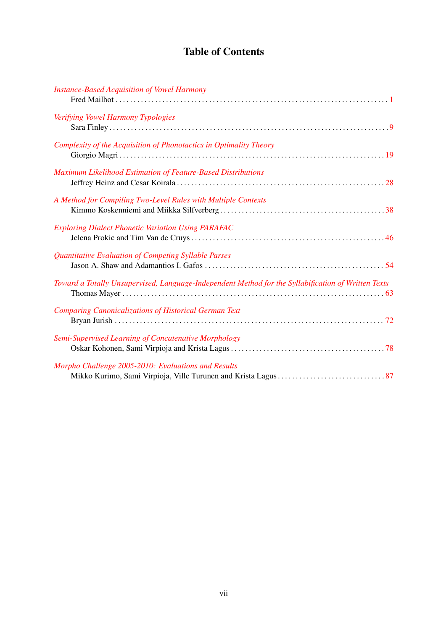## Table of Contents

| <b>Instance-Based Acquisition of Vowel Harmony</b>                                                  |
|-----------------------------------------------------------------------------------------------------|
| Verifying Vowel Harmony Typologies                                                                  |
| Complexity of the Acquisition of Phonotactics in Optimality Theory                                  |
| Maximum Likelihood Estimation of Feature-Based Distributions                                        |
| A Method for Compiling Two-Level Rules with Multiple Contexts                                       |
| <b>Exploring Dialect Phonetic Variation Using PARAFAC</b>                                           |
| Quantitative Evaluation of Competing Syllable Parses                                                |
| Toward a Totally Unsupervised, Language-Independent Method for the Syllabification of Written Texts |
| <b>Comparing Canonicalizations of Historical German Text</b>                                        |
| Semi-Supervised Learning of Concatenative Morphology                                                |
| Morpho Challenge 2005-2010: Evaluations and Results                                                 |